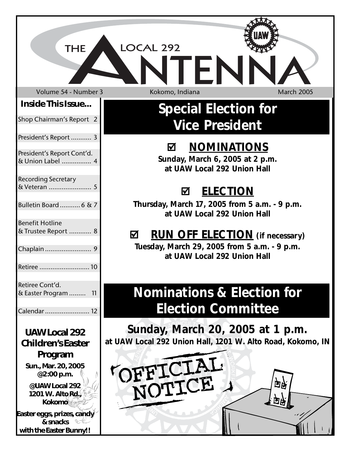| <b>THE</b>                                     | LOCAL 292<br><b>LFL</b>                                                                   |
|------------------------------------------------|-------------------------------------------------------------------------------------------|
| Volume 54 - Number 3                           | Kokomo, Indiana<br><b>March 2005</b>                                                      |
| <b>Inside This Issue</b>                       | <b>Special Election for</b>                                                               |
| Shop Chairman's Report 2                       | <b>Vice President</b>                                                                     |
| President's Report  3                          |                                                                                           |
| President's Report Cont'd.<br>& Union Label  4 | <b>NOMINATIONS</b><br>☑<br>Sunday, March 6, 2005 at 2 p.m.<br>at UAW Local 292 Union Hall |
| <b>Recording Secretary</b>                     |                                                                                           |
|                                                | <b>ELECTION</b><br>☑                                                                      |
| Bulletin Board  6 & 7                          | Thursday, March 17, 2005 from 5 a.m. - 9 p.m.<br>at UAW Local 292 Union Hall              |
| <b>Benefit Hotline</b><br>& Trustee Report  8  |                                                                                           |
|                                                | <b>RUN OFF ELECTION</b> (if necessary)<br>☑                                               |
|                                                | Tuesday, March 29, 2005 from 5 a.m. - 9 p.m.<br>at UAW Local 292 Union Hall               |
|                                                |                                                                                           |
| Retiree Cont'd.<br>& Easter Program  11        | <b>Nominations &amp; Election for</b>                                                     |
|                                                | <b>Election Committee</b>                                                                 |
| Calendar  12                                   |                                                                                           |
| <b>UAW Local 292</b>                           | Sunday, March 20, 2005 at 1 p.m.                                                          |
| <b>Children's Easter</b>                       | at UAW Local 292 Union Hall, 1201 W. Alto Road, Kokomo, IN                                |
| Program                                        |                                                                                           |
| Sun., Mar. 20, 2005<br>@2:00 p.m.              |                                                                                           |
| @UAW Local 292                                 | TOFFICIAL<br>白头                                                                           |
| 1201 W. Alto Rd.,<br><b>Kokomo</b>             |                                                                                           |
| Easter eggs, prizes, candy<br>& snacks         |                                                                                           |
| with the Easter Bunny!!                        |                                                                                           |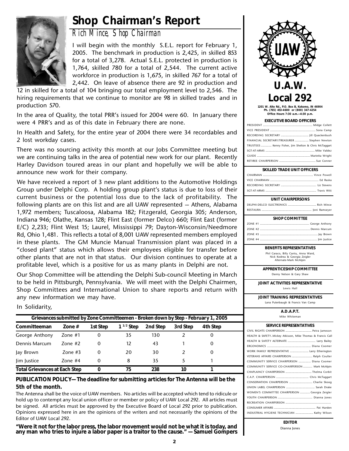# **Shop Chairman's Report**



*Rich Mince, Shop Chairman*

I will begin with the monthly S.E.L. report for February 1, 2005. The benchmark in production is 2,425, in skilled 853 for a total of 3,278. Actual S.E.L. protected in production is 1,764, skilled 780 for a total of 2,544. The current active workforce in production is 1,675, in skilled 767 for a total of 2,442. On leave of absence there are 92 in production and

12 in skilled for a total of 104 bringing our total employment level to 2,546. The hiring requirements that we continue to monitor are 98 in skilled trades and in production 570.

In the area of Quality, the total PRR's issued for 2004 were 60. In January there were 4 PRR's and as of this date in February there are none.

In Health and Safety, for the entire year of 2004 there were 34 recordables and 2 lost workday cases.

There was no sourcing activity this month at our Jobs Committee meeting but we are continuing talks in the area of potential new work for our plant. Recently Harley Davidson toured areas in our plant and hopefully we will be able to announce new work for their company.

We have received a report of 3 new plant additions to the Automotive Holdings Group under Delphi Corp. A holding group plant's status is due to loss of their current business or the potential loss due to the lack of profitability. The following plants are on this list and are all UAW represented  $-$  Athens, Alabama 1,972 members; Tuscaloosa, Alabama 182; Fitzgerald, Georgia 305; Anderson, Indiana 946; Olathe, Kansas 128; Flint East (former Delco) 660; Flint East (former E/C) 2,233; Flint West 15; Laurel, Mississippi 79; Dayton-Wisconsin/Needmore Rd, Ohio 1,481. This reflects a total of 8,001 UAW represented members employed in these plants. The GM Muncie Manual Transmission plant was placed in a "closed plant" status which allows their employees eligible for transfer before other plants that are not in that status. Our division continues to operate at a profitable level, which is a positive for us as many plants in Delphi are not.

Our Shop Committee will be attending the Delphi Sub-council Meeting in March to be held in Pittsburgh, Pennsylvania. We will meet with the Delphi Chairmen, Shop Committees and International Union to share reports and return with any new information we may have.

In Solidarity,

| Grievances submitted by Zone Committeemen - Broken down by Step - February 1, 2005 |               |          |                |          |          |          |  |
|------------------------------------------------------------------------------------|---------------|----------|----------------|----------|----------|----------|--|
| Committeeman                                                                       | Zone $#$      | 1st Step | $1^{1/2}$ Step | 2nd Step | 3rd Step | 4th Step |  |
| George Anthony                                                                     | Zone #1       | 0        | 35             | 130      |          |          |  |
| Dennis Marcum                                                                      | $7$ one # $2$ | 0        | 12             | 43       |          |          |  |
| Jay Brown                                                                          | Zone #3       | 0        | 20             | 30       |          |          |  |
| lim lustice                                                                        | Zone $#4$     | 0        | 8              | 35       |          |          |  |
| <b>Total Grievances at Each Step</b>                                               |               |          | 75             | 238      | 10       |          |  |

#### **PUBLICATION POLICY— The deadline for submitting articles for The Antenna will be the 5th of the month.**

The Antenna shall be the voice of UAW members. No articles will be accepted which tend to ridicule or hold up to contempt any local union officer or member or policy of UAW Local 292. All articles must be signed. All articles must be approved by the Executive Board of Local 292 prior to publication. Opinions expressed here in are the opinions of the writers and not necessarily the opinions of the Editor of UAW Local 292.

**"Were it not for the labor press, the labor movement would not be what it is today, and any man who tries to injure a labor paper is a traitor to the cause." — Samuel Gompers**



**1201 W. Alto Rd., P.O. Box B, Kokomo, IN 46904 Ph. (765) 453-4600 or (800) 347-4254 Office Hours 7:30 a.m.—4:30 p.m.**

| <b>EXECUTIVE BOARD OFFICERS</b>                       |  |  |  |  |
|-------------------------------------------------------|--|--|--|--|
|                                                       |  |  |  |  |
|                                                       |  |  |  |  |
|                                                       |  |  |  |  |
| FINANCIAL SECRETARY/TREASURER  Stephen Newton         |  |  |  |  |
| TRUSTEES  Kenny Fisher, Jim Shelton & Chris McTaggart |  |  |  |  |
|                                                       |  |  |  |  |
|                                                       |  |  |  |  |
|                                                       |  |  |  |  |
|                                                       |  |  |  |  |

#### **SKILLED TRADE UNIT OFFICERS**

#### **UNIT CHAIRPERSONS**

| <b>SHOP COMMITTEE</b> |
|-----------------------|
|-----------------------|

**BENEFITS REPRESENTATIVES**

Phil Caraco, Billy Cantu, Anna Ward, Nick Kodrea & Georgia Zeigler Alternate-Mark McAlpin

**APPRENTICESHIP COMMITTEE**

Danny Nelson & Gary Shaw

**JOINT ACTIVITIES REPRESENTATIVE** Lewis Hall

**JOINT TRAINING REPRESENTATIVES** Lana Puterbaugh & Francis Van Camp

```
A.D.A.P.T.
```
Mike Whiteman

| <b>SERVICE REPRESENTATIVES</b>                             |
|------------------------------------------------------------|
| CIVIL RIGHTS CHAIRPERSON  Petra Jameson                    |
| HEALTH & SAFETYMickey Atkisson, Mike Thomas & Francis Call |
|                                                            |
|                                                            |
| WORK FAMILY REPRESENTATIVE  Larry Etherington              |
| VETERANS AFFAIRS CHAIRPERSON  Ralph Coulter                |
| COMMUNITY SERVICE CHAIRPERSON  Diana Coomer                |
| COMMUNITY SERVICE CO-CHAIRPERSON  Mark McAlpin             |
| CHAPLAINCY CHAIRPERSON  Thelma Corbit                      |
|                                                            |
| CONSERVATION CHAIRPERSON  Charlie Skoog                    |
|                                                            |
| WOMEN'S COMMITTEE CHAIRPERSON  Georgia Zeigler             |
|                                                            |
|                                                            |
|                                                            |
| INDUSTRIAL HYGIENE TECHNICIAN  Kathy Wilson                |
|                                                            |

**EDITOR** Dianna Jones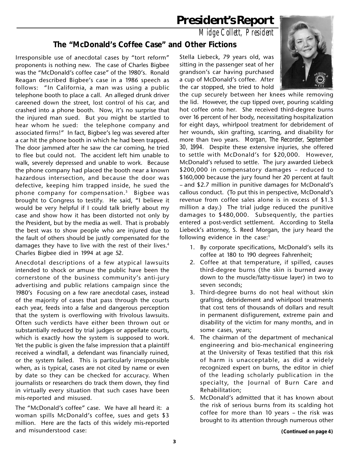# **President's Report**

*Midge Collett, President*

### **The "McDonald's Coffee Case" and Other Fictions**

Irresponsible use of anecdotal cases by "tort reform" proponents is nothing new. The case of Charles Bigbee was the "McDonald's coffee case" of the 1980's. Ronald Reagan described Bigbee's case in a 1986 speech as follows: "In California, a man was using a public telephone booth to place a call. An alleged drunk driver careened down the street, lost control of his car, and crashed into a phone booth. Now, it's no surprise that the injured man sued. But you might be startled to hear whom he sued: the telephone company and associated firms!" In fact, Bigbee's leg was severed after a car hit the phone booth in which he had been trapped. The door jammed after he saw the car coming, he tried to flee but could not. The accident left him unable to walk, severely depressed and unable to work. Because the phone company had placed the booth near a known hazardous intersection, and because the door was defective, keeping him trapped inside, he sued the phone company for compensation.3 Bigbee was brought to Congress to testify. He said, "I believe it would be very helpful if I could talk briefly about my case and show how it has been distorted not only by the President, but by the media as well. That is probably the best was to show people who are injured due to the fault of others should be justly compensated for the damages they have to live with the rest of their lives.<sup>4</sup> Charles Bigbee died in 1994 at age 52.

Anecdotal descriptions of a few atypical lawsuits intended to shock or amuse the public have been the cornerstone of the business community's anti-jury advertising and public relations campaign since the 1980's Focusing on a few rare anecdotal cases, instead of the majority of cases that pass through the courts each year, feeds into a false and dangerous perception that the system is overflowing with frivolous lawsuits. Often such verdicts have either been thrown out or substantially reduced by trial judges or appellate courts, which is exactly how the system is supposed to work. Yet the public is given the false impression that a plaintiff received a windfall, a defendant was financially ruined, or the system failed. This is particularly irresponsible when, as is typical, cases are not cited by name or even by date so they can be checked for accuracy. When journalists or researchers do track them down, they find in virtually every situation that such cases have been mis-reported and misused.

The "McDonald's coffee" case. We have all heard it: a woman spills McDonald's coffee, sues and gets \$3 million. Here are the facts of this widely mis-reported and misunderstood case:

Stella Liebeck, 79 years old, was sitting in the passenger seat of her grandson's car having purchased a cup of McDonald's coffee. After the car stopped, she tried to hold



the cup securely between her knees while removing the lid. However, the cup tipped over, pouring scalding hot coffee onto her. She received third-degree burns over 16 percent of her body, necessitating hospitalization for eight days, whirlpool treatment for debridement of her wounds, skin grafting, scarring, and disability for more than two years. *Morgan, The Recorder, September 30, 1994.* Despite these extensive injuries, she offered to settle with McDonald's for \$20,000. However, McDonald's refused to settle. The jury awarded Liebeck \$200,000 in compensatory damages – reduced to \$160,000 because the jury found her 20 percent at fault – and \$2.7 million in punitive damages for McDonald's callous conduct. (To put this in perspective, McDonald's revenue from coffee sales alone is in excess of \$1.3 million a day.) The trial judge reduced the punitive damages to \$480,000. Subsequently, the parties entered a post-verdict settlement. According to Stella Liebeck's attorney, S. Reed Morgan, the jury heard the following evidence in the case:<sup>1</sup>

- 1. By corporate specifications, McDonald's sells its coffee at 180 to 190 degrees Fahrenheit;
- 2. Coffee at that temperature, if spilled, causes third-degree burns (the skin is burned away down to the muscle/fatty-tissue layer) in two to seven seconds;
- 3. Third-degree burns do not heal without skin grafting, debridement and whirlpool treatments that cost tens of thousands of dollars and result in permanent disfigurement, extreme pain and disability of the victim for many months, and in some cases, years;
- 4. The chairman of the department of mechanical engineering and bio-mechanical engineering at the University of Texas testified that this risk of harm is unacceptable, as did a widely recognized expert on burns, the editor in chief of the leading scholarly publication in the specialty, the Journal of Burn Care and Rehabilitation;
- 5. McDonald's admitted that it has known about the risk of serious burns from its scalding hot coffee for more than 10 years – the risk was brought to its attention through numerous other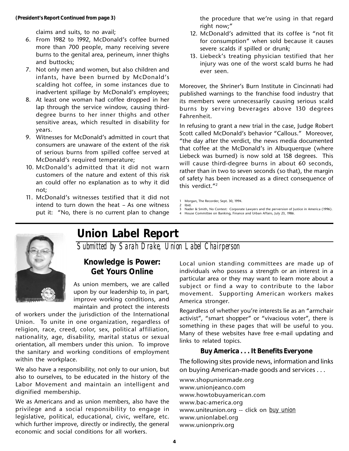claims and suits, to no avail;

- 6. From 1982 to 1992, McDonald's coffee burned more than 700 people, many receiving severe burns to the genital area, perineum, inner thighs and buttocks;
- 7. Not only men and women, but also children and infants, have been burned by McDonald's scalding hot coffee, in some instances due to inadvertent spillage by McDonald's employees;
- 8. At least one woman had coffee dropped in her lap through the service window, causing thirddegree burns to her inner thighs and other sensitive areas, which resulted in disability for years.
- 9. Witnesses for McDonald's admitted in court that consumers are unaware of the extent of the risk of serious burns from spilled coffee served at McDonald's required temperature;
- 10. McDonald's admitted that it did not warn customers of the nature and extent of this risk an could offer no explanation as to why it did not;
- 11. McDonald's witnesses testified that it did not intend to turn down the heat – As one witness put it: "No, there is no current plan to change

the procedure that we're using in that regard right now;"

- 12. McDonald's admitted that its coffee is "not fit for consumption" when sold because it causes severe scalds if spilled or drunk;
- 13. Liebeck's treating physician testified that her injury was one of the worst scald burns he had ever seen.

Moreover, the Shriner's Burn Institute in Cincinnati had published warnings to the franchise food industry that its members were unnecessarily causing serious scald burns by ser ving beverages above 130 degrees Fahrenheit.

In refusing to grant a new trial in the case, Judge Robert Scott called McDonald's behavior "Callous." Moreover, "the day after the verdict, the news media documented that coffee at the McDonald's in Albuquerque (where Liebeck was burned) is now sold at 158 degrees. This will cause third-degree burns in about 60 seconds, rather than in two to seven seconds (so that), the margin of safety has been increased as a direct consequence of this verdict."2

- 1 Morgan, The Recorder, Sept. 30, 1994. 2 Ibid.
	-
- 3 Nader & Smith, No Contest: Corporate Lawyers and the perversion of Justice in America (1996). 4 House Committee on Banking, Finance and Urban Affairs, July 23, 1986.



# **Union Label Report**

*Submitted by Sarah Drake, Union Label Chairperson*

#### **Knowledge is Power: Get Yours Online**

As union members, we are called upon by our leadership to, in part, improve working conditions, and maintain and protect the interests

of workers under the jurisdiction of the International Union. To unite in one organization, regardless of religion, race, creed, color, sex, political affiliation, nationality, age, disability, marital status or sexual orientation, all members under this union. To improve the sanitary and working conditions of employment within the workplace.

We also have a responsibility, not only to our union, but also to ourselves, to be educated in the history of the Labor Movement and maintain an intelligent and dignified membership.

We as Americans and as union members, also have the privilege and a social responsibility to engage in legislative, political, educational, civic, welfare, etc. which further improve, directly or indirectly, the general economic and social conditions for all workers.

Local union standing committees are made up of individuals who possess a strength or an interest in a particular area or they may want to learn more about a subject or find a way to contribute to the labor movement. Supporting American workers makes America stronger.

Regardless of whether you're interests lie as an "armchair activist", "smart shopper" or "vivacious voter", there is something in these pages that will be useful to you. Many of these websites have free e-mail updating and links to related topics.

#### **Buy America . . . It Benefits Everyone**

The following sites provide news, information and links on buying American-made goods and services . . .

www.shopunionmade.org www.unionjeanco.com www.howtobuyamerican.com www.bac-america.org www.uniteunion.org -- click on *buy union* www.unionlabel.org www.unionpriv.org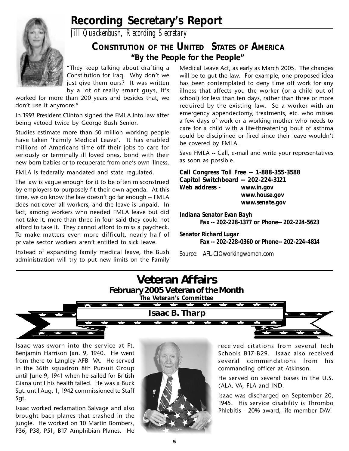

# **Recording Secretary's Report**

*Jill Quackenbush, Recording Secretary*

## **CONSTITUTION OF THE UNITED STATES OF AMERICA "By the People for the People"**

"They keep talking about drafting a Constitution for Iraq. Why don't we just give them ours? It was written by a lot of really smart guys, it's

worked for more than 200 years and besides that, we don't use it anymore."

In 1993 President Clinton signed the FMLA into law after being vetoed twice by George Bush Senior.

Studies estimate more than 50 million working people have taken 'Family Medical Leave'. It has enabled millions of Americans time off their jobs to care for seriously or terminally ill loved ones, bond with their new born babies or to recuperate from one's own illness.

FMLA is federally mandated and state regulated.

The law is vague enough for it to be often misconstrued by employers to purposely fit their own agenda. At this time, we do know the law doesn't go far enough -- FMLA does not cover all workers, and the leave is unpaid. In fact, among workers who needed FMLA leave but did not take it, more than three in four said they could not afford to take it. They cannot afford to miss a paycheck. To make matters even more difficult, nearly half of private sector workers aren't entitled to sick leave.

Instead of expanding family medical leave, the Bush administration will try to put new limits on the Family

Medical Leave Act, as early as March 2005. The changes will be to gut the law. For example, one proposed idea has been contemplated to deny time off work for any illness that affects you the worker (or a child out of school) for less than ten days, rather than three or more required by the existing law. So a worker with an emergency appendectomy, treatments, etc. who misses a few days of work or a working mother who needs to care for a child with a life-threatening bout of asthma could be disciplined or fired since their leave wouldn't be covered by FMLA.

Save FMLA -- Call, e-mail and write your representatives as soon as possible.

**Call Congress Toll Free -- 1-888-355-3588 Capitol Switchboard -- 202-224-3121 Web address -** *www.in.gov www.house.gov www.senate.gov*

*Indiana Senator Evan Bayh Fax -- 202-228-1377 or Phone-- 202-224-5623*

*Senator Richard Lugar Fax -- 202-228-0360 or Phone-- 202-224-4814*

*Source: AFL-CIOworkingwomen.com*



Isaac was sworn into the service at Ft. Benjamin Harrison Jan. 9, 1940. He went from there to Langley AFB VA. He served in the 36th squadron 8th Pursuit Group until June 9, 1941 when he sailed for British Giana until his health failed. He was a Buck Sgt. until Aug. 1, 1942 commissioned to Staff Sgt.

Isaac worked reclamation Salvage and also brought back planes that crashed in the jungle. He worked on 10 Martin Bombers, P36, P38, P51, B17 Amphibian Planes. He



received citations from several Tech Schools B17-B29. Isaac also received several commendations from his commanding officer at Atkinson.

He served on several bases in the U.S. (ALA, VA, FLA and IND.

Isaac was discharged on September 20, 1945. His service disability is Thrombo Phlebitis - 20% award, life member DAV.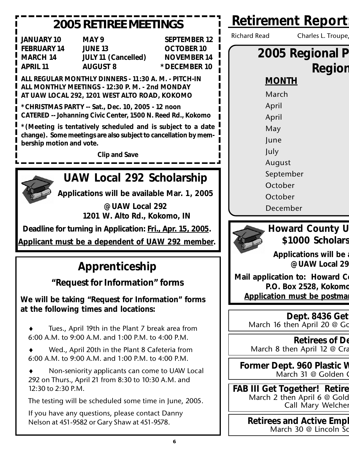| <b>2005 RETIREE MEETINGS</b>                                                                                                                                                                                                                                                                                                                                                                                                                                       | <b>Retirement Report</b>                                                                                                                |
|--------------------------------------------------------------------------------------------------------------------------------------------------------------------------------------------------------------------------------------------------------------------------------------------------------------------------------------------------------------------------------------------------------------------------------------------------------------------|-----------------------------------------------------------------------------------------------------------------------------------------|
| <b>JANUARY 10</b><br>MAY 9<br><b>SEPTEMBER 12</b><br><b>FEBRUARY 14</b><br><b>JUNE 13</b><br><b>OCTOBER 10</b><br><b>NOVEMBER 14</b><br><b>MARCH 14</b><br><b>JULY 11 (Cancelled)</b><br>*DECEMBER 10<br><b>APRIL 11</b><br><b>AUGUST 8</b>                                                                                                                                                                                                                        | <b>Richard Read</b><br>Charles L. Troupe,<br>2005 Regional P<br>Region                                                                  |
| ALL REGULAR MONTHLY DINNERS - 11:30 A. M. - PITCH-IN<br>ALL MONTHLY MEETINGS - 12:30 P. M. - 2nd MONDAY<br>AT UAW LOCAL 292, 1201 WEST ALTO ROAD, KOKOMO<br>*CHRISTMAS PARTY -- Sat., Dec. 10, 2005 - 12 noon<br>CATERED -- Johanning Civic Center, 1500 N. Reed Rd., Kokomo<br>*(Meeting is tentatively scheduled and is subject to a date<br>change). Some meetings are also subject to cancellation by mem-<br>bership motion and vote.<br><b>Clip and Save</b> | <b>MONTH</b><br>March<br>April<br>April<br>May<br>June<br>July<br>August                                                                |
| UAW Local 292 Scholarship<br>Applications will be available Mar. 1, 2005<br>@ UAW Local 292<br>1201 W. Alto Rd., Kokomo, IN                                                                                                                                                                                                                                                                                                                                        | September<br>October<br>October<br>December                                                                                             |
| Deadline for turning in Application: Fri., Apr. 15, 2005.<br>Applicant must be a dependent of UAW 292 member.                                                                                                                                                                                                                                                                                                                                                      | <b>Howard County U</b><br>\$1000 Scholars                                                                                               |
| Apprenticeship<br>"Request for Information" forms<br>We will be taking "Request for Information" forms                                                                                                                                                                                                                                                                                                                                                             | <b>Applications will be</b><br>@ UAW Local 29<br>Mail application to: Howard Co<br>P.O. Box 2528, Kokomo<br>Application must be postmal |
| at the following times and locations:<br>Tues., April 19th in the Plant 7 break area from<br>6:00 A.M. to 9:00 A.M. and 1:00 P.M. to 4:00 P.M.                                                                                                                                                                                                                                                                                                                     | Dept. 8436 Get<br>March 16 then April 20 @ Go<br><b>Retirees of De</b>                                                                  |
| Wed., April 20th in the Plant 8 Cafeteria from<br>6:00 A.M. to 9:00 A.M. and 1:00 P.M. to 4:00 P.M.<br>Non-seniority applicants can come to UAW Local<br>292 on Thurs., April 21 from 8:30 to 10:30 A.M. and                                                                                                                                                                                                                                                       | March 8 then April 12 @ Cra<br>Former Dept. 960 Plastic V<br>March 31 @ Golden 0                                                        |
| 12:30 to 2:30 P.M.<br>The testing will be scheduled some time in June, 2005.                                                                                                                                                                                                                                                                                                                                                                                       | <b>FAB III Get Together! Retire</b><br>March 2 then April 6 @ Gold<br>Call Mary Welcher                                                 |
| If you have any questions, please contact Danny                                                                                                                                                                                                                                                                                                                                                                                                                    |                                                                                                                                         |

**Retirees and Active Empl** March 30 @ Lincoln So

Nelson at 451-9582 or Gary Shaw at 451-9578.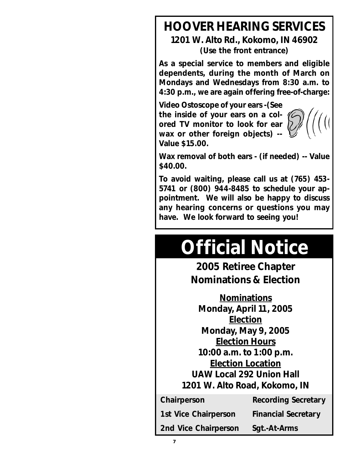# **HOOVER HEARING SERVICES 1201 W. Alto Rd., Kokomo, IN 46902 (Use the front entrance)**

**As a special service to members and eligible dependents, during the month of March on Mondays and Wednesdays from 8:30 a.m. to 4:30 p.m., we are again offering free-of-charge:**

**Video Ostoscope of your ears -(See the inside of your ears on a colored TV monitor to look for ear wax or other foreign objects) -- Value \$15.00.**



**Wax removal of both ears - (if needed) -- Value \$40.00.**

**To avoid waiting, please call us at (765) 453- 5741 or (800) 944-8485 to schedule your appointment. We will also be happy to discuss any hearing concerns or questions you may have. We look forward to seeing you!**

# **Official Notice**

**2005 Retiree Chapter Nominations & Election**

**Nominations Monday, April 11, 2005 Election Monday, May 9, 2005 Election Hours 10:00 a.m. to 1:00 p.m. Election Location UAW Local 292 Union Hall 1201 W. Alto Road, Kokomo, IN**

**Chairperson Recording Secretary** 

**1st Vice Chairperson Financial Secretary**

**2nd Vice Chairperson Sgt.-At-Arms**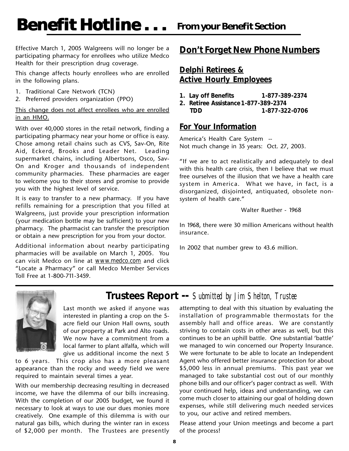Effective March 1, 2005 Walgreens will no longer be a participating pharmacy for enrollees who utilize Medco Health for their prescription drug coverage.

This change affects hourly enrollees who are enrolled in the following plans.

- 1. Traditional Care Network (TCN)
- 2. Preferred providers organization (PPO)

#### This change does not affect enrollees who are enrolled in an HMO.

With over 40,000 stores in the retail network, finding a participating pharmacy near your home or office is easy. Chose among retail chains such as CVS, Sav-On, Rite Aid, Eckerd, Brooks and Leader Net. Leading supermarket chains, including Albertsons, Osco, Sav-On and Kroger and thousands of independent community pharmacies. These pharmacies are eager to welcome you to their stores and promise to provide you with the highest level of service.

It is easy to transfer to a new pharmacy. If you have refills remaining for a prescription that you filled at Walgreens, just provide your prescription information (your medication bottle may be sufficient) to your new pharmacy. The pharmacist can transfer the prescription or obtain a new prescription for you from your doctor.

Additional information about nearby participating pharmacies will be available on March 1, 2005. You can visit Medco on line at *www.medco.com* and click "Locate a Pharmacy" or call Medco Member Services Toll Free at 1-800-711-3459.

## **Don't Forget New Phone Numbers**

#### **Delphi Retirees & Active Hourly Employees**

- **1. Lay off Benefits 1-877-389-2374**
- **2. Retiree Assistance 1-877-389-2374 TDD 1-877-322-0706**

#### **For Your Information**

America's Health Care System -- Not much change in 35 years: Oct. 27, 2003.

"If we are to act realistically and adequately to deal with this health care crisis, then I believe that we must free ourselves of the illusion that we have a health care system in America. What we have, in fact, is a disorganized, disjointed, antiquated, obsolete nonsystem of health care."

#### Walter Ruether - 1968

In 1968, there were 30 million Americans without health insurance.

In 2002 that number grew to 43.6 million.



# **Trustees Report --** *Submitted by Jim Shelton, Trustee*

Last month we asked if anyone was interested in planting a crop on the 5 acre field our Union Hall owns, south of our property at Park and Alto roads. We now have a commitment from a local farmer to plant alfalfa, which will give us additional income the next 5

to 6 years. This crop also has a more pleasant appearance than the rocky and weedy field we were required to maintain several times a year.

With our membership decreasing resulting in decreased income, we have the dilemma of our bills increasing. With the completion of our 2005 budget, we found it necessary to look at ways to use our dues monies more creatively. One example of this dilemma is with our natural gas bills, which during the winter ran in excess of \$2,000 per month. The Trustees are presently

attempting to deal with this situation by evaluating the installation of programmable thermostats for the assembly hall and office areas. We are constantly striving to contain costs in other areas as well, but this continues to be an uphill battle. One substantial 'battle' we managed to win concerned our Property Insurance. We were fortunate to be able to locate an Independent Agent who offered better insurance protection for about \$5,000 less in annual premiums. This past year we managed to take substantial cost out of our monthly phone bills and our officer's pager contract as well. With your continued help, ideas and understanding, we can come much closer to attaining our goal of holding down expenses, while still delivering much needed services to you, our active and retired members.

Please attend your Union meetings and become a part of the process!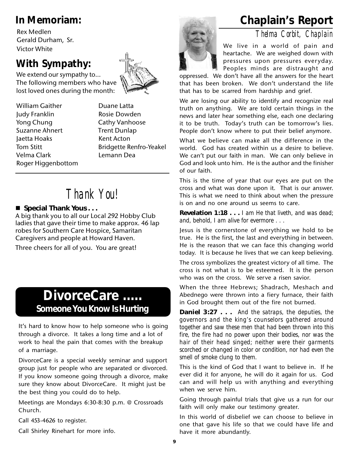Rex Medlen Gerald Durham, Sr. Victor White

# **With Sympathy:**

We extend our sympathy to… The following members who have lost loved ones during the month:



# *Thank You!*

#### ■ Special Thank Yous . . .

A big thank you to all our Local 292 Hobby Club ladies that gave their time to make approx. 46 lap robes for Southern Care Hospice, Samaritan Caregivers and people at Howard Haven.

Three cheers for all of you. You are great!

# **DivorceCare ..... Someone You Know Is Hurting**

It's hard to know how to help someone who is going through a divorce. It takes a long time and a lot of work to heal the pain that comes with the breakup of a marriage.

DivorceCare is a special weekly seminar and support group just for people who are separated or divorced. If you know someone going through a divorce, make sure they know about DivorceCare. It might just be the best thing you could do to help.

Meetings are Mondays 6:30-8:30 p.m. @ Crossroads Church.

Call 453-4626 to register.

Call Shirley Rinehart for more info.



# **In Memoriam: Chaplain's Report**

*Thelma Corbit, Chaplain*

We live in a world of pain and heartache. We are weighed down with pressures upon pressures everyday. Peoples minds are distraught and

oppressed. We don't have all the answers for the heart that has been broken. We don't understand the life that has to be scarred from hardship and grief.

We are losing our ability to identify and recognize real truth on anything. We are told certain things in the news and later hear something else, each one declaring it to be truth. Today's truth can be tomorrow's lies. People don't know where to put their belief anymore.

What we believe can make all the difference in the world. God has created within us a desire to believe. We can't put our faith in man. We can only believe in God and look unto him. He is the author and the finisher of our faith.

This is the time of year that our eyes are put on the cross and what was done upon it. That is our answer. This is what we need to think about when the pressure is on and no one around us seems to care.

**Revelation 1:18 . . .** *I am He that liveth, and was dead; and, behold, I am alive for evermore . . .*

Jesus is the cornerstone of everything we hold to be true. He is the first, the last and everything in between. He is the reason that we can face this changing world today. It is because he lives that we can keep believing.

The cross symbolizes the greatest victory of all time. The cross is not what is to be esteemed. It is the person who was on the cross. We serve a risen savior.

When the three Hebrews; Shadrach, Meshach and Abednego were thrown into a fiery furnace, their faith in God brought them out of the fire not burned.

**Daniel 3:27 . . .** *And the satraps, the deputies, the governors and the king's counselors gathered around together and saw these men that had been thrown into this fire, the fire had no power upon their bodies, nor was the hair of their head singed; neither were their garments scorched or changed in color or condition, nor had even the smell of smoke clung to them.*

This is the kind of God that I want to believe in. If he ever did it for anyone, he will do it again for us. God can and will help us with anything and everything when we serve him.

Going through painful trials that give us a run for our faith will only make our testimony greater.

In this world of disbelief we can choose to believe in one that gave his life so that we could have life and have it more abundantly.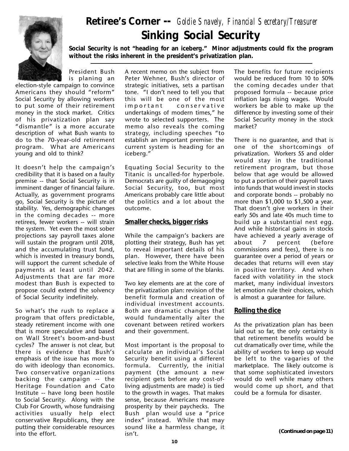

# **Sinking Social Security Retiree's Corner --** *Goldie Snavely, Financial Secretary/Treasurer*

**Social Security is not "heading for an iceberg." Minor adjustments could fix the program without the risks inherent in the president's privatization plan.**

President Bush is planing an

election-style campaign to convince Americans they should "reform" Social Security by allowing workers to put some of their retirement money in the stock market. Critics of his privatization plan say "dismantle" is a more accurate description of what Bush wants to do to the 70-year-old retirement program. What are Americans young and old to think?

It doesn't help the campaign's credibility that it is based on a faulty premise -- that Social Security is in imminent danger of financial failure. Actually, as government programs go, Social Security is the picture of stability. Yes, demographic changes in the coming decades -- more retirees, fewer workers -- will strain the system. Yet even the most sober projections say payroll taxes alone will sustain the program until 2018, and the accumulating trust fund, which is invested in treasury bonds, will support the current schedule of payments at least until 2042. Adjustments that are far more modest than Bush is expected to propose could extend the solvency of Social Security indefinitely.

So what's the rush to replace a program that offers predictable, steady retirement income with one that is more speculative and based on Wall Street's boom-and-bust cycles? The answer is not clear, but there is evidence that Bush's emphasis of the issue has more to do with ideology than economics. Two conser vative organizations backing the campaign -- the Heritage Foundation and Cato Institute -- have long been hostile to Social Security. Along with the Club For Growth, whose fundraising activities usually help elect conservative Republicans, they are putting their considerable resources into the effort.

A recent memo on the subject from Peter Wehner, Bush's director of strategic initiatives, sets a partisan tone. "I don't need to tell you that this will be one of the most important conservative undertakings of modern times," he wrote to selected supporters. The memo also reveals the coming strategy, including speeches "to establish an important premise: the current system is heading for an iceberg."

Equating Social Security to the Titanic is uncalled-for hyperbole. Democrats are guilty of demagoging Social Security, too, but most Americans probably care little about the politics and a lot about the outcome.

#### **Smaller checks, bigger risks**

While the campaign's backers are plotting their strategy, Bush has yet to reveal important details of his plan. However, there have been selective leaks from the White House that are filling in some of the blanks.

Two key elements are at the core of the privatization plan: revision of the benefit formula and creation of individual investment accounts. Both are dramatic changes that would fundamentally alter the covenant between retired workers and their government.

Most important is the proposal to calculate an individual's Social Security benefit using a different formula. Currently, the initial payment (the amount a new recipient gets before any cost-ofliving adjustments are made) is tied to the growth in wages. That makes sense, because Americans measure prosperity by their paychecks. The Bush plan would use a "price index" instead. While that may sound like a harmless change, it isn't. **(Continued on page 11)**

The benefits for future recipients would be reduced from 10 to 50% the coming decades under that proposed formula -- because price inflation lags rising wages. Would workers be able to make up the difference by investing some of their Social Security money in the stock market?

There is no guarantee, and that is one of the shortcomings of privatization. Workers 55 and older would stay in the traditional retirement program, but those below that age would be allowed to put a portion of their payroll taxes into funds that would invest in stocks and corporate bonds -- probably no more than \$1,000 to \$1,500 a year. That doesn't give workers in their early 50s and late 40s much time to build up a substantial nest egg. And while historical gains in stocks have achieved a yearly average of about 7 percent (before commissions and fees), there is no guarantee over a period of years or decades that returns will even stay in positive territory. And when faced with volatility in the stock market, many individual investors let emotion rule their choices, which is almost a guarantee for failure.

#### **Rolling the dice**

As the privatization plan has been laid out so far, the only certainty is that retirement benefits would be cut dramatically over time, while the ability of workers to keep up would be left to the vagaries of the marketplace. The likely outcome is that some sophisticated investors would do well while many others would come up short, and that could be a formula for disaster.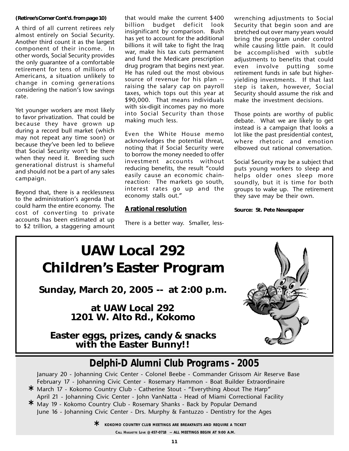#### **(Retiree's Corner Cont'd. from page 10)**

A third of all current retirees rely almost entirely on Social Security. Another third count it as the largest component of their income. In other words, Social Security provides the only guarantee of a comfortable retirement for tens of millions of Americans, a situation unlikely to change in coming generations considering the nation's low savings rate.

Yet younger workers are most likely to favor privatization. That could be because they have grown up during a record bull market (which may not repeat any time soon) or because they've been led to believe that Social Security won't be there when they need it. Breeding such generational distrust is shameful and should not be a part of any sales campaign.

Beyond that, there is a recklessness to the administration's agenda that could harm the entire economy. The cost of converting to private accounts has been estimated at up to \$2 trillion, a staggering amount

that would make the current \$400 billion budget deficit look insignificant by comparison. Bush has yet to account for the additional billions it will take to fight the Iraq war, make his tax cuts permanent and fund the Medicare prescription drug program that begins next year. He has ruled out the most obvious source of revenue for his plan - raising the salary cap on payroll taxes, which tops out this year at \$90,000. That means individuals with six-digit incomes pay no more into Social Security than those making much less.

Even the White House memo acknowledges the potential threat, noting that if Social Security were to borrow the money needed to offer investment accounts without reducing benefits, the result "could easily cause an economic chainreaction: The markets go south, interest rates go up and the economy stalls out."

#### **A rational resolution**

There is a better way. Smaller, less-

wrenching adjustments to Social Security that begin soon and are stretched out over many years would bring the program under control while causing little pain. It could be accomplished with subtle adjustments to benefits that could even involve putting some retirement funds in safe but higheryielding investments. If that last step is taken, however, Social Security should assume the risk and make the investment decisions.

Those points are worthy of public debate. What we are likely to get instead is a campaign that looks a lot like the past presidential contest, where rhetoric and emotion elbowed out rational conversation.

Social Security may be a subject that puts young workers to sleep and helps older ones sleep more soundly, but it is time for both groups to wake up. The retirement they save may be their own.

**Source: St. Pete Newspaper**



# *Delphi-D Alumni Club Programs - 2005*

January 20 - Johanning Civic Center - Colonel Beebe - Commander Grissom Air Reserve Base February 17 - Johanning Civic Center - Rosemary Hammon - Boat Builder Extraordinaire March 17 - Kokomo Country Club - Catherine Stout - "Everything About The Harp" **\*** April 21 - Johanning Civic Center - John VanNatta - Head of Miami Correctional Facility May 19 - Kokomo Country Club - Rosemary Shanks - Back by Popular Demand **\***

June 16 - Johanning Civic Center - Drs. Murphy & Fantuzzo - Dentistry for the Ages

**KOKOMO COUNTRY CLUB MEETINGS ARE BREAKFASTS AND REQUIRE A TICKET \* CALL HUGUETTE LOVE @ 457-0718 -- ALL MEETINGS BEGIN AT 9:00 A.M.**